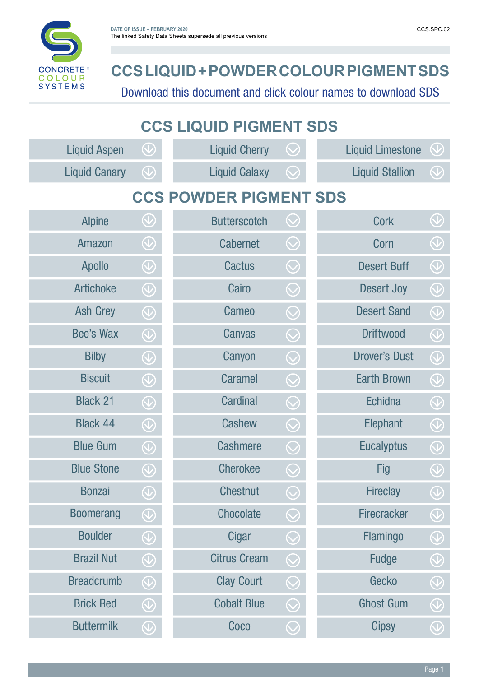

## **CCS LIQUID + POWDER COLOUR PIGMENT SDS**

Download this document and click colour names to download SDS

| <b>CCS LIQUID PIGMENT SDS</b> |                      |                                     |                      |                                                      |                         |                                     |  |  |  |
|-------------------------------|----------------------|-------------------------------------|----------------------|------------------------------------------------------|-------------------------|-------------------------------------|--|--|--|
|                               | <b>Liquid Aspen</b>  | $\bigcircled{\setminus}$            | <b>Liquid Cherry</b> | $\bigcirc$                                           | <b>Liquid Limestone</b> |                                     |  |  |  |
|                               | <b>Liquid Canary</b> | $\bigcirc \!\!\! \! \! \! \bigcirc$ | <b>Liquid Galaxy</b> | $\bigcirc \hspace{-0.5ex}\leftarrow \hspace{-0.5ex}$ | <b>Liquid Stallion</b>  | $\bigcirc \!\!\! \! \! \! \bigcirc$ |  |  |  |
| <b>CCS POWDER PIGMENT SDS</b> |                      |                                     |                      |                                                      |                         |                                     |  |  |  |
|                               | <b>Alpine</b>        | $\bigcircled{\setminus}$            | <b>Butterscotch</b>  | $\bigcircled{\setminus}$                             | Cork                    | $\bigcircled{\mathbb{Q}}$           |  |  |  |
|                               | Amazon               | $\bigcirc \hspace{-1.5mm} \bigcirc$ | <b>Cabernet</b>      | $\bigcirc \!\!\! \! \! \! \bigcirc$                  | Corn                    | $\bigcircled{\setminus}$            |  |  |  |
|                               | <b>Apollo</b>        | $\bigcirc \!\!\! \! \! \! \bigcirc$ | <b>Cactus</b>        | $\bigcirc \hspace{-1.5mm} \bigcirc$                  | <b>Desert Buff</b>      | $\bigcirc$                          |  |  |  |
|                               | <b>Artichoke</b>     | $\bigcircled{\mathbb{Q}}$           | Cairo                | $\bigcircled{\setminus}$                             | <b>Desert Joy</b>       | $\bigcirc$                          |  |  |  |
|                               | <b>Ash Grey</b>      |                                     | Cameo                | $\bigcirc \!\!\! \! \! \bigcirc$                     | <b>Desert Sand</b>      | $\bigcirc$                          |  |  |  |
|                               | Bee's Wax            | $\bigcirc \!\!\! \! \! \! \bigcirc$ | <b>Canvas</b>        | $\bigcirc \!\!\! \! \! \! \bigcirc$                  | <b>Driftwood</b>        | $\bigcircled{\setminus}$            |  |  |  |
|                               | <b>Bilby</b>         | $\bigcircled{\mathbb{Q}}$           | Canyon               | $\bigcirc \hspace{-1.5mm} \bigcirc$                  | <b>Drover's Dust</b>    | $\bigcirc$                          |  |  |  |
|                               | <b>Biscuit</b>       |                                     | <b>Caramel</b>       | $\bigcirc$                                           | <b>Earth Brown</b>      | $\bigcirc$                          |  |  |  |
|                               | <b>Black 21</b>      | $\bigcircled{\setminus}$            | <b>Cardinal</b>      |                                                      | <b>Echidna</b>          | $\bigcirc \!\!\! \! \! \! \bigcirc$ |  |  |  |
|                               | <b>Black 44</b>      | $\bigcirc \!\!\! \! \! \! \bigcirc$ | Cashew               | $\bigcirc \hspace{-1.5mm} \bigcirc$                  | Elephant                | $\bigcirc$                          |  |  |  |
|                               | <b>Blue Gum</b>      | $\bigcirc \!\!\! \! \! \! \bigcirc$ | <b>Cashmere</b>      | $\bigcirc \hspace{-1.5mm} \bigcirc$                  | <b>Eucalyptus</b>       | $\bigcirc$                          |  |  |  |
|                               | <b>Blue Stone</b>    |                                     | <b>Cherokee</b>      | $\bigcirc \!\! \! \! \! \bigcirc$                    | <b>Fig</b>              | $\bigcircled{\mathbb{U}}$           |  |  |  |
|                               | <b>Bonzai</b>        | $\bigcircled{\mathbb{Q}}$           | <b>Chestnut</b>      | $\bigcirc \hspace{-1.5mm} \bigcirc$                  | <b>Fireclay</b>         | $\bigcirc \!\!\! \! \! \! \bigcirc$ |  |  |  |
|                               | <b>Boomerang</b>     | $\bigcirc \!\!\! \! \! \! \bigcirc$ | <b>Chocolate</b>     | $\bigcirc \hspace{-1.5mm} \bigcirc$                  | <b>Firecracker</b>      |                                     |  |  |  |
|                               | <b>Boulder</b>       | $\bigcircled{\setminus}$            | Cigar                | $\bigcirc \!\!\! \! \! \! \bigcirc$                  | Flamingo                | $\bigcircled{\mathbb{Q}}$           |  |  |  |
|                               | <b>Brazil Nut</b>    | $\bigcirc$                          | <b>Citrus Cream</b>  | $\bigcirc \hspace{-1.5mm} \bigcirc$                  | <b>Fudge</b>            | $\bigcircled{\mathbb{Q}}$           |  |  |  |
|                               | <b>Breadcrumb</b>    | $\bigcirc$                          | <b>Clay Court</b>    | $\bigcirc \hspace{-1.5mm} \bigcirc$                  | Gecko                   | $\bigcirc$                          |  |  |  |
|                               | <b>Brick Red</b>     | $\bigcircled{\setminus}$            | <b>Cobalt Blue</b>   |                                                      | <b>Ghost Gum</b>        |                                     |  |  |  |
|                               | <b>Buttermilk</b>    | $\bigcirc \!\!\! \! \! \! \bigcirc$ | Coco                 | $\bigcirc \!\!\! \! \! \! \bigcirc$                  | <b>Gipsy</b>            | $\bigcircled{\mathbb{Q}}$           |  |  |  |
|                               |                      |                                     |                      |                                                      |                         |                                     |  |  |  |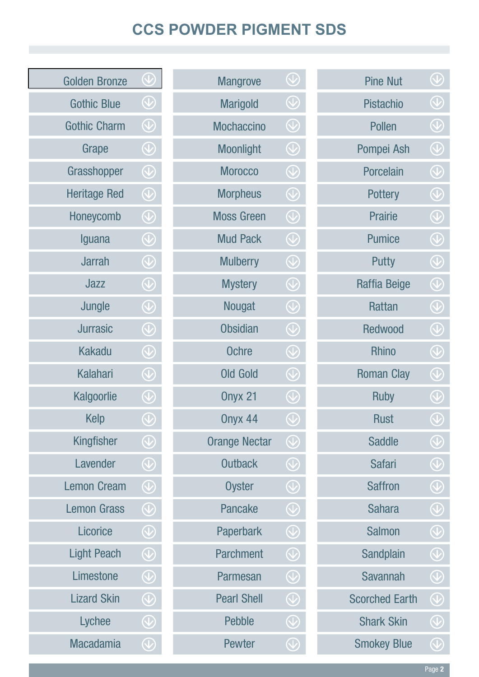## **CCS POWDER PIGMENT SDS**

| <b>Pine Nut</b>       | $\left(\bigvee\right)$                                                             |
|-----------------------|------------------------------------------------------------------------------------|
| <b>Pistachio</b>      | $\bigcircled{\setminus}$                                                           |
| <b>Pollen</b>         | $\bigcirc \!\!\! \! \! \bigcirc \!\!\! \! \bigcirc$                                |
| Pompei Ash            | $\bigcirc \hspace{-1.5mm} \bigcirc$                                                |
| <b>Porcelain</b>      | $\bigcirc$                                                                         |
| <b>Pottery</b>        | $\bigcirc \!\!\! \! \! \bigcirc$                                                   |
| <b>Prairie</b>        | $\bigcirc$                                                                         |
| <b>Pumice</b>         | $\bigcirc$                                                                         |
| <b>Putty</b>          | $\bigcirc$                                                                         |
| <b>Raffia Beige</b>   | $\bigcirc \hspace{-0.5ex}\leftarrow \hspace{-0.5ex}$                               |
| <b>Rattan</b>         | $\bigcirc$                                                                         |
| <b>Redwood</b>        | $\bigcirc$                                                                         |
| <b>Rhino</b>          | $\bigcirc$                                                                         |
| <b>Roman Clay</b>     | $\bigcirc$                                                                         |
| <b>Ruby</b>           | $\bigcirc$                                                                         |
| <b>Rust</b>           | $\left(\bigvee\right)$                                                             |
| <b>Saddle</b>         | $\left(\bigvee\right)$                                                             |
| <b>Safari</b>         | $\left\langle \mathbf{\mathbf{\mathbf{\mathbf{\mathbf{\mathbf{V}}}}}\right\rangle$ |
| <b>Saffron</b>        | $\bigcirc$                                                                         |
| <b>Sahara</b>         | $\bigcirc \!\!\! \! \bigcirc \!\!\! \bigcirc$                                      |
| <b>Salmon</b>         | $\left(\bigvee\right)$                                                             |
| Sandplain             | $\bigcirc$                                                                         |
| <b>Savannah</b>       | $\bigcirc \hspace{-0.5ex}\leftarrow \hspace{-0.5ex}$                               |
| <b>Scorched Earth</b> | $\left(\bigvee\right)$                                                             |
| <b>Shark Skin</b>     | $\left(\bigvee\right)$                                                             |
| <b>Smokey Blue</b>    | $\bigcirc \hspace{-0.5ex}\leftarrow$                                               |

| <b>Mangrove</b>      | $\overline{\mathbb{Q}}$                |
|----------------------|----------------------------------------|
| <b>Marigold</b>      | $\bigcirc$                             |
| <b>Mochaccino</b>    | $\bigcirc$                             |
| <b>Moonlight</b>     | $\bigcirc$                             |
| <b>Morocco</b>       | $\widehat{\mathbb{Q}}$                 |
| <b>Morpheus</b>      | $\bigcirc$                             |
| <b>Moss Green</b>    | $\bigcirc$                             |
| <b>Mud Pack</b>      | $\bigcirc$                             |
| <b>Mulberry</b>      | $\overline{\mathbb{Q}}$                |
| <b>Mystery</b>       | $\bigcirc$                             |
| <b>Nougat</b>        | $\bigcirc$                             |
| <b>Obsidian</b>      | $\bigcirc$                             |
| <b>Ochre</b>         | $\bigcirc$                             |
| <b>Old Gold</b>      | $\bigcirc$                             |
| Onyx 21              | $\bigcirc$                             |
| Onyx 44              | $\bigcirc$                             |
| <b>Orange Nectar</b> | $\overline{\mathbb{Q}}$                |
| <b>Outback</b>       | $\overline{\mathbb{Q}}$                |
| <b>Oyster</b>        | $\left\langle \mathbb{V}\right\rangle$ |
| <b>Pancake</b>       | $\bigcirc$                             |
| Paperbark            | $\bigcirc$                             |
| <b>Parchment</b>     | $\bigcirc$                             |
| <b>Parmesan</b>      | $\bigcirc$                             |
| <b>Pearl Shell</b>   | $\bigcirc$                             |
| <b>Pebble</b>        | $\rm{C}$                               |
| <b>Pewter</b>        | $\langle \downarrow$                   |
|                      |                                        |

| <b>Golden Bronze</b> | $\left(\bigvee\right)$                               |
|----------------------|------------------------------------------------------|
| <b>Gothic Blue</b>   | $\bigcirc \hspace{-0.5ex}\leftarrow \hspace{-0.5ex}$ |
| <b>Gothic Charm</b>  | $\bigcirc$                                           |
| Grape                | $\bigcirc$                                           |
| Grasshopper          | $\bigcirc$                                           |
| <b>Heritage Red</b>  | $\bigcirc$                                           |
| Honeycomb            | $\bigcirc \hspace{-0.5ex}\leftarrow \hspace{-0.5ex}$ |
| Iguana               | $\bigcirc$                                           |
| <b>Jarrah</b>        | $\bigcirc$                                           |
| Jazz                 | $\bigcirc$                                           |
| Jungle               | $\bigcirc$                                           |
| Jurrasic             | $\bigcirc$                                           |
| <b>Kakadu</b>        | $\bigcirc$                                           |
| <b>Kalahari</b>      | $\bigcirc$                                           |
| Kalgoorlie           | $\bigcirc$                                           |
| Kelp                 | $\left(\bigvee\right)$                               |
| Kingfisher           | $\left(\bigvee\right)$                               |
| Lavender             | $\left\langle \mathcal{V}\right\rangle$              |
| <b>Lemon Cream</b>   | $\left(\bigvee\right)$                               |
| <b>Lemon Grass</b>   | $\bigcirc$                                           |
| Licorice             | $\left(\bigvee\right)$                               |
| <b>Light Peach</b>   | $\left(\bigvee\right)$                               |
| Limestone            | $\bigcirc$                                           |
| <b>Lizard Skin</b>   | $\left(\bigvee\right)$                               |
| Lychee               | $\left(\bigvee\right)$                               |
| <b>Macadamia</b>     | $\bigcirc$                                           |
|                      |                                                      |